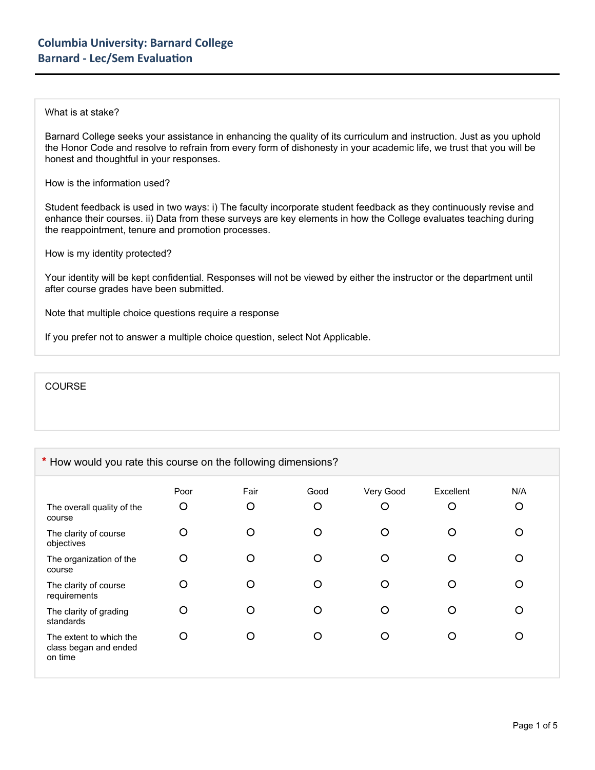## What is at stake?

Barnard College seeks your assistance in enhancing the quality of its curriculum and instruction. Just as you uphold the Honor Code and resolve to refrain from every form of dishonesty in your academic life, we trust that you will be honest and thoughtful in your responses.

How is the information used?

Student feedback is used in two ways: i) The faculty incorporate student feedback as they continuously revise and enhance their courses. ii) Data from these surveys are key elements in how the College evaluates teaching during the reappointment, tenure and promotion processes.

How is my identity protected?

Your identity will be kept confidential. Responses will not be viewed by either the instructor or the department until after course grades have been submitted.

Note that multiple choice questions require a response

If you prefer not to answer a multiple choice question, select Not Applicable.

**COURSE** 

## **\*** How would you rate this course on the following dimensions?

| The overall quality of the<br>course                        | Poor<br>$\circ$ | Fair<br>O | Good<br>O | Very Good<br>O | Excellent<br>O | N/A<br>O |
|-------------------------------------------------------------|-----------------|-----------|-----------|----------------|----------------|----------|
| The clarity of course<br>objectives                         | O               | ◠         | O         | O              | O              | ∩        |
| The organization of the<br>course                           | O               |           | O         | O              | ∩              | Ω        |
| The clarity of course<br>requirements                       | O               | O         | O         | O              | ∩              | Ω        |
| The clarity of grading<br>standards                         | O               |           | O         | O              |                | ∩        |
| The extent to which the<br>class began and ended<br>on time | O               |           | ∩         | ∩              |                | ∩        |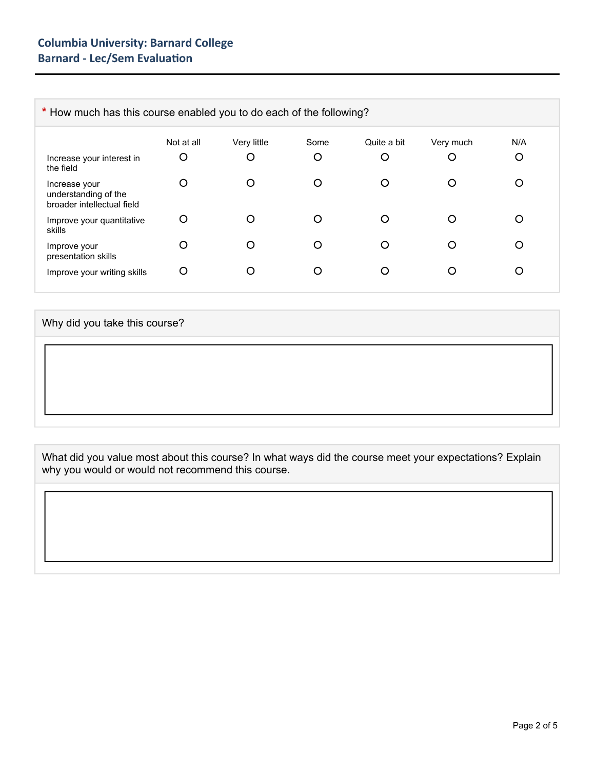| * How much has this course enabled you to do each of the following? |            |             |      |             |           |     |
|---------------------------------------------------------------------|------------|-------------|------|-------------|-----------|-----|
|                                                                     | Not at all | Very little | Some | Quite a bit | Very much | N/A |
| Increase your interest in<br>the field                              | O          | O           | O    | O           | O         | O   |
| Increase your<br>understanding of the<br>broader intellectual field | O          | O           | O    | ◯           | O         |     |
| Improve your quantitative<br>skills                                 | O          | O           | O    | ∩           | O         |     |
| Improve your<br>presentation skills                                 | O          | O           | ∩    | ∩           | ∩         |     |
| Improve your writing skills                                         | O          | Ő           | O    | O           | O         |     |

## Why did you take this course?

What did you value most about this course? In what ways did the course meet your expectations? Explain why you would or would not recommend this course.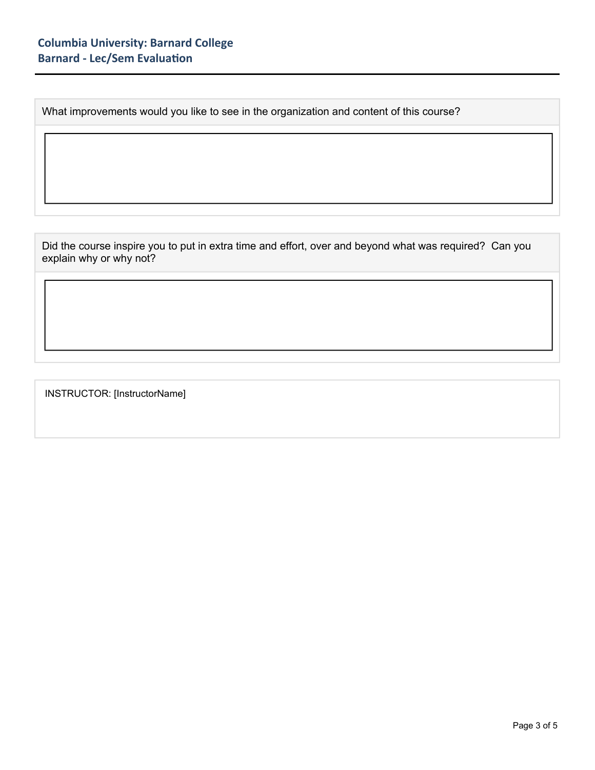What improvements would you like to see in the organization and content of this course?

Did the course inspire you to put in extra time and effort, over and beyond what was required? Can you explain why or why not?

INSTRUCTOR: [InstructorName]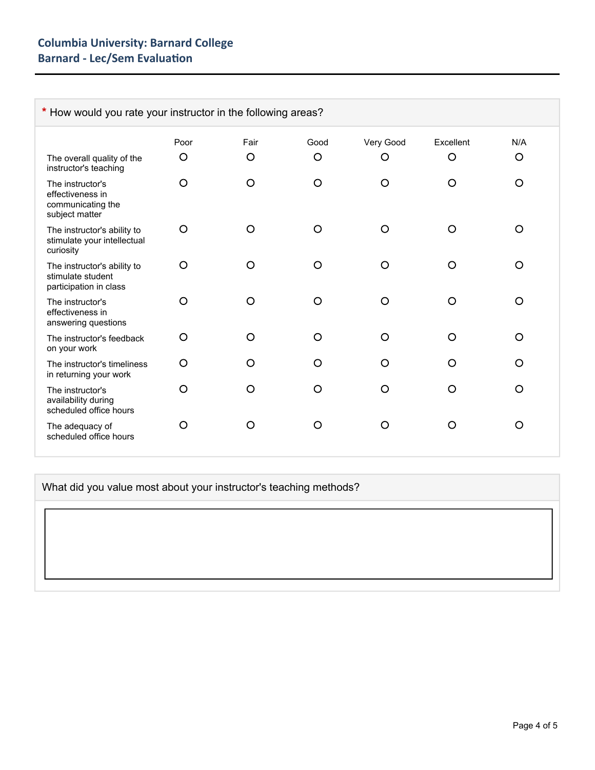| * How would you rate your instructor in the following areas?                |         |         |         |           |           |          |
|-----------------------------------------------------------------------------|---------|---------|---------|-----------|-----------|----------|
|                                                                             | Poor    | Fair    | Good    | Very Good | Excellent | N/A      |
| The overall quality of the<br>instructor's teaching                         | O       | $\circ$ | O       | O         | $\circ$   | $\circ$  |
| The instructor's<br>effectiveness in<br>communicating the<br>subject matter | $\circ$ | O       | O       | O         | O         | O        |
| The instructor's ability to<br>stimulate your intellectual<br>curiosity     | O       | O       | $\circ$ | $\Omega$  | O         | $\circ$  |
| The instructor's ability to<br>stimulate student<br>participation in class  | $\circ$ | O       | O       | O         | $\Omega$  | $\circ$  |
| The instructor's<br>effectiveness in<br>answering questions                 | O       | O       | O       | O         | $\Omega$  | $\circ$  |
| The instructor's feedback<br>on your work                                   | $\circ$ | O       | O       | $\Omega$  | ∩         | $\Omega$ |
| The instructor's timeliness<br>in returning your work                       | O       | O       | O       | $\Omega$  | O         | O        |
| The instructor's<br>availability during<br>scheduled office hours           | O       | O       | O       | O         | O         | $\circ$  |
| The adequacy of<br>scheduled office hours                                   | O       | O       | O       | O         | O         | O        |

What did you value most about your instructor's teaching methods?